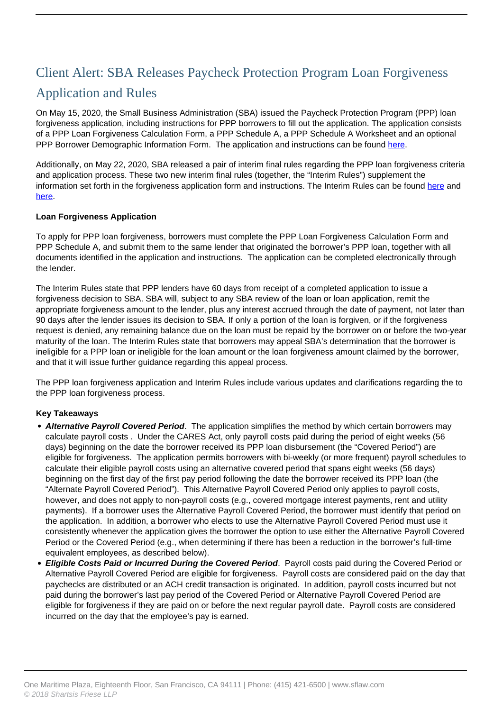## Client Alert: SBA Releases Paycheck Protection Program Loan Forgiveness Application and Rules

On May 15, 2020, the Small Business Administration (SBA) issued the Paycheck Protection Program (PPP) loan forgiveness application, including instructions for PPP borrowers to fill out the application. The application consists of a PPP Loan Forgiveness Calculation Form, a PPP Schedule A, a PPP Schedule A Worksheet and an optional PPP Borrower Demographic Information Form. The application and instructions can be found [here](https://home.treasury.gov/system/files/136/3245-0407-SBA-Form-3508-PPP-Forgiveness-Application.pdf).

Additionally, on May 22, 2020, SBA released a pair of interim final rules regarding the PPP loan forgiveness criteria and application process. These two new interim final rules (together, the "Interim Rules") supplement the information set forth in the forgiveness application form and instructions. The Interim Rules can be found here and here.

## **Loan Forgiveness Application**

To apply for PPP loan forgiveness, borrowers must complete the PPP Loan Forgiveness Calculation Form and PPP Schedule A, and submit them to the same lender that originated the borrower's PPP loan, together with all documents identified in the application and instructions. The application can be completed electronically through the lender.

The Interim Rules state that PPP lenders have 60 days from receipt of a completed application to issue a forgiveness decision to SBA. SBA will, subject to any SBA review of the loan or loan application, remit the appropriate forgiveness amount to the lender, plus any interest accrued through the date of payment, not later than 90 days after the lender issues its decision to SBA. If only a portion of the loan is forgiven, or if the forgiveness request is denied, any remaining balance due on the loan must be repaid by the borrower on or before the two-year maturity of the loan. The Interim Rules state that borrowers may appeal SBA's determination that the borrower is ineligible for a PPP loan or ineligible for the loan amount or the loan forgiveness amount claimed by the borrower, and that it will issue further guidance regarding this appeal process.

The PPP loan forgiveness application and Interim Rules include various updates and clarifications regarding the to the PPP loan forgiveness process.

## **Key Takeaways**

- **Alternative Payroll Covered Period**. The application simplifies the method by which certain borrowers may calculate payroll costs . Under the CARES Act, only payroll costs paid during the period of eight weeks (56 days) beginning on the date the borrower received its PPP loan disbursement (the "Covered Period") are eligible for forgiveness. The application permits borrowers with bi-weekly (or more frequent) payroll schedules to calculate their eligible payroll costs using an alternative covered period that spans eight weeks (56 days) beginning on the first day of the first pay period following the date the borrower received its PPP loan (the "Alternate Payroll Covered Period"). This Alternative Payroll Covered Period only applies to payroll costs, however, and does not apply to non-payroll costs (e.g., covered mortgage interest payments, rent and utility payments). If a borrower uses the Alternative Payroll Covered Period, the borrower must identify that period on the application. In addition, a borrower who elects to use the Alternative Payroll Covered Period must use it consistently whenever the application gives the borrower the option to use either the Alternative Payroll Covered Period or the Covered Period (e.g., when determining if there has been a reduction in the borrower's full-time equivalent employees, as described below).
- **Eligible Costs Paid or Incurred During the Covered Period**. Payroll costs paid during the Covered Period or Alternative Payroll Covered Period are eligible for forgiveness. Payroll costs are considered paid on the day that paychecks are distributed or an ACH credit transaction is originated. In addition, payroll costs incurred but not paid during the borrower's last pay period of the Covered Period or Alternative Payroll Covered Period are eligible for forgiveness if they are paid on or before the next regular payroll date. Payroll costs are considered incurred on the day that the employee's pay is earned.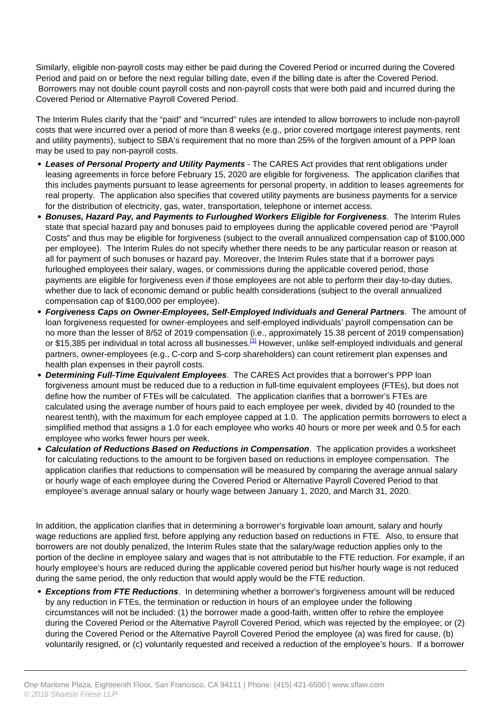Similarly, eligible non-payroll costs may either be paid during the Covered Period or incurred during the Covered Period and paid on or before the next regular billing date, even if the billing date is after the Covered Period. Borrowers may not double count payroll costs and non-payroll costs that were both paid and incurred during the Covered Period or Alternative Payroll Covered Period.

The Interim Rules clarify that the "paid" and "incurred" rules are intended to allow borrowers to include non-payroll costs that were incurred over a period of more than 8 weeks (e.g., prior covered mortgage interest payments, rent and utility payments), subject to SBA's requirement that no more than 25% of the forgiven amount of a PPP loan may be used to pay non-payroll costs.

- **Leases of Personal Property and Utility Payments** The CARES Act provides that rent obligations under leasing agreements in force before February 15, 2020 are eligible for forgiveness. The application clarifies that this includes payments pursuant to lease agreements for personal property, in addition to leases agreements for real property. The application also specifies that covered utility payments are business payments for a service for the distribution of electricity, gas, water, transportation, telephone or internet access.
- **Bonuses, Hazard Pay, and Payments to Furloughed Workers Eligible for Forgiveness**. The Interim Rules state that special hazard pay and bonuses paid to employees during the applicable covered period are "Payroll Costs" and thus may be eligible for forgiveness (subject to the overall annualized compensation cap of \$100,000 per employee). The Interim Rules do not specify whether there needs to be any particular reason or reason at all for payment of such bonuses or hazard pay. Moreover, the Interim Rules state that if a borrower pays furloughed employees their salary, wages, or commissions during the applicable covered period, those payments are eligible for forgiveness even if those employees are not able to perform their day-to-day duties, whether due to lack of economic demand or public health considerations (subject to the overall annualized compensation cap of \$100,000 per employee).
- **Forgiveness Caps on Owner-Employees, Self-Employed Individuals and General Partners**. The amount of loan forgiveness requested for owner-employees and self-employed individuals' payroll compensation can be no more than the lesser of 8/52 of 2019 compensation (i.e., approximately 15.38 percent of 2019 compensation) or \$15,385 per individual in total across all businesses.<sup>[1]</sup> However, unlike self-employed individuals and general partners, owner-employees (e.g., C-corp and S-corp shareholders) can count retirement plan expenses and health plan expenses in their payroll costs.
- **Determining Full-Time Equivalent Employees**. The CARES Act provides that a borrower's PPP loan forgiveness amount must be reduced due to a reduction in full-time equivalent employees (FTEs), but does not define how the number of FTEs will be calculated. The application clarifies that a borrower's FTEs are calculated using the average number of hours paid to each employee per week, divided by 40 (rounded to the nearest tenth), with the maximum for each employee capped at 1.0. The application permits borrowers to elect a simplified method that assigns a 1.0 for each employee who works 40 hours or more per week and 0.5 for each employee who works fewer hours per week.
- **Calculation of Reductions Based on Reductions in Compensation**. The application provides a worksheet for calculating reductions to the amount to be forgiven based on reductions in employee compensation. The application clarifies that reductions to compensation will be measured by comparing the average annual salary or hourly wage of each employee during the Covered Period or Alternative Payroll Covered Period to that employee's average annual salary or hourly wage between January 1, 2020, and March 31, 2020.

In addition, the application clarifies that in determining a borrower's forgivable loan amount, salary and hourly wage reductions are applied first, before applying any reduction based on reductions in FTE. Also, to ensure that borrowers are not doubly penalized, the Interim Rules state that the salary/wage reduction applies only to the portion of the decline in employee salary and wages that is not attributable to the FTE reduction. For example, if an hourly employee's hours are reduced during the applicable covered period but his/her hourly wage is not reduced during the same period, the only reduction that would apply would be the FTE reduction.

**Exceptions from FTE Reductions**. In determining whether a borrower's forgiveness amount will be reduced by any reduction in FTEs, the termination or reduction in hours of an employee under the following circumstances will not be included: (1) the borrower made a good-faith, written offer to rehire the employee during the Covered Period or the Alternative Payroll Covered Period, which was rejected by the employee; or (2) during the Covered Period or the Alternative Payroll Covered Period the employee (a) was fired for cause, (b) voluntarily resigned, or (c) voluntarily requested and received a reduction of the employee's hours. If a borrower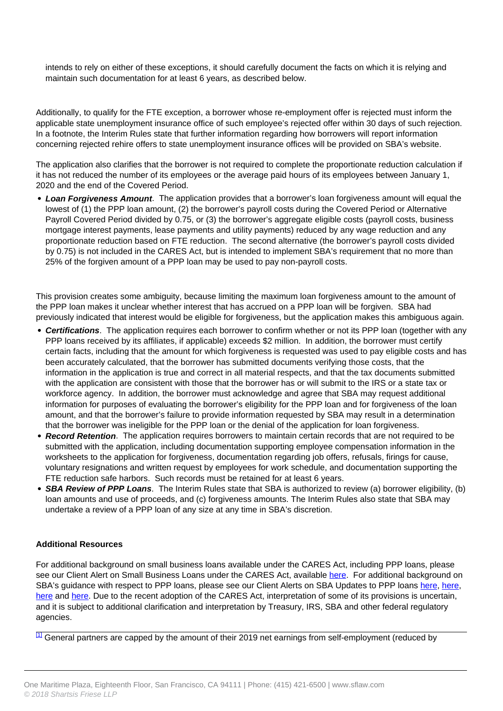intends to rely on either of these exceptions, it should carefully document the facts on which it is relying and maintain such documentation for at least 6 years, as described below.

Additionally, to qualify for the FTE exception, a borrower whose re-employment offer is rejected must inform the applicable state unemployment insurance office of such employee's rejected offer within 30 days of such rejection. In a footnote, the Interim Rules state that further information regarding how borrowers will report information concerning rejected rehire offers to state unemployment insurance offices will be provided on SBA's website.

The application also clarifies that the borrower is not required to complete the proportionate reduction calculation if it has not reduced the number of its employees or the average paid hours of its employees between January 1, 2020 and the end of the Covered Period.

**Loan Forgiveness Amount**. The application provides that a borrower's loan forgiveness amount will equal the lowest of (1) the PPP loan amount, (2) the borrower's payroll costs during the Covered Period or Alternative Payroll Covered Period divided by 0.75, or (3) the borrower's aggregate eligible costs (payroll costs, business mortgage interest payments, lease payments and utility payments) reduced by any wage reduction and any proportionate reduction based on FTE reduction. The second alternative (the borrower's payroll costs divided by 0.75) is not included in the CARES Act, but is intended to implement SBA's requirement that no more than 25% of the forgiven amount of a PPP loan may be used to pay non-payroll costs.

This provision creates some ambiguity, because limiting the maximum loan forgiveness amount to the amount of the PPP loan makes it unclear whether interest that has accrued on a PPP loan will be forgiven. SBA had previously indicated that interest would be eligible for forgiveness, but the application makes this ambiguous again.

- **Certifications**. The application requires each borrower to confirm whether or not its PPP loan (together with any PPP loans received by its affiliates, if applicable) exceeds \$2 million. In addition, the borrower must certify certain facts, including that the amount for which forgiveness is requested was used to pay eligible costs and has been accurately calculated, that the borrower has submitted documents verifying those costs, that the information in the application is true and correct in all material respects, and that the tax documents submitted with the application are consistent with those that the borrower has or will submit to the IRS or a state tax or workforce agency. In addition, the borrower must acknowledge and agree that SBA may request additional information for purposes of evaluating the borrower's eligibility for the PPP loan and for forgiveness of the loan amount, and that the borrower's failure to provide information requested by SBA may result in a determination that the borrower was ineligible for the PPP loan or the denial of the application for loan forgiveness.
- **Record Retention**. The application requires borrowers to maintain certain records that are not required to be submitted with the application, including documentation supporting employee compensation information in the worksheets to the application for forgiveness, documentation regarding job offers, refusals, firings for cause, voluntary resignations and written request by employees for work schedule, and documentation supporting the FTE reduction safe harbors. Such records must be retained for at least 6 years.
- **SBA Review of PPP Loans**. The Interim Rules state that SBA is authorized to review (a) borrower eligibility, (b) loan amounts and use of proceeds, and (c) forgiveness amounts. The Interim Rules also state that SBA may undertake a review of a PPP loan of any size at any time in SBA's discretion.

## **Additional Resources**

For additional background on small business loans available under the CARES Act, including PPP loans, please see our Client Alert on Small Business Loans under the CARES Act, available here. For additional background on SBA's guidance with respect to PPP loans, please see our Client Alerts on SBA Updates to PPP loans here, here, here and here. Due to the recent adoption of the CARES Act, interpretation of some of its provisions is uncertain, and it is subject to additional clarification and interpretation by Treasury, IRS, SBA and other federal regulatory agencies.

<sup>[1]</sup> General partners are capped by the amount of their 2019 net earnings from self-employment (reduced by